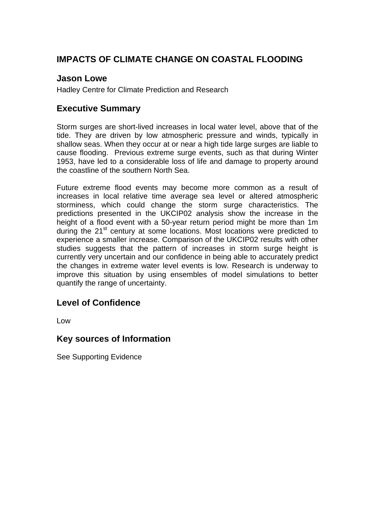## **IMPACTS OF CLIMATE CHANGE ON COASTAL FLOODING**

#### **Jason Lowe**

Hadley Centre for Climate Prediction and Research

### **Executive Summary**

Storm surges are short-lived increases in local water level, above that of the tide. They are driven by low atmospheric pressure and winds, typically in shallow seas. When they occur at or near a high tide large surges are liable to cause flooding. Previous extreme surge events, such as that during Winter 1953, have led to a considerable loss of life and damage to property around the coastline of the southern North Sea.

Future extreme flood events may become more common as a result of increases in local relative time average sea level or altered atmospheric storminess, which could change the storm surge characteristics. The predictions presented in the UKCIP02 analysis show the increase in the height of a flood event with a 50-year return period might be more than 1m during the 21<sup>st</sup> century at some locations. Most locations were predicted to experience a smaller increase. Comparison of the UKCIP02 results with other studies suggests that the pattern of increases in storm surge height is currently very uncertain and our confidence in being able to accurately predict the changes in extreme water level events is low. Research is underway to improve this situation by using ensembles of model simulations to better quantify the range of uncertainty.

### **Level of Confidence**

Low

### **Key sources of Information**

See Supporting Evidence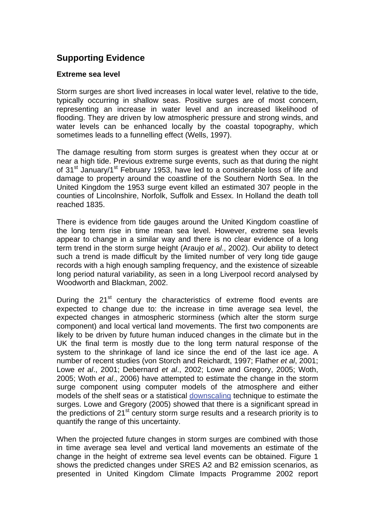## **Supporting Evidence**

#### **Extreme sea level**

Storm surges are short lived increases in local water level, relative to the tide, typically occurring in shallow seas. Positive surges are of most concern, representing an increase in water level and an increased likelihood of flooding. They are driven by low atmospheric pressure and strong winds, and water levels can be enhanced locally by the coastal topography, which sometimes leads to a funnelling effect (Wells, 1997).

The damage resulting from storm surges is greatest when they occur at or near a high tide. Previous extreme surge events, such as that during the night of 31<sup>st</sup> January/1<sup>st</sup> February 1953, have led to a considerable loss of life and damage to property around the coastline of the Southern North Sea. In the United Kingdom the 1953 surge event killed an estimated 307 people in the counties of Lincolnshire, Norfolk, Suffolk and Essex. In Holland the death toll reached 1835.

There is evidence from tide gauges around the United Kingdom coastline of the long term rise in time mean sea level. However, extreme sea levels appear to change in a similar way and there is no clear evidence of a long term trend in the storm surge height (Araujo *et al*., 2002). Our ability to detect such a trend is made difficult by the limited number of very long tide gauge records with a high enough sampling frequency, and the existence of sizeable long period natural variability, as seen in a long Liverpool record analysed by Woodworth and Blackman, 2002.

During the  $21<sup>st</sup>$  century the characteristics of extreme flood events are expected to change due to: the increase in time average sea level, the expected changes in atmospheric storminess (which alter the storm surge component) and local vertical land movements. The first two components are likely to be driven by future human induced changes in the climate but in the UK the final term is mostly due to the long term natural response of the system to the shrinkage of land ice since the end of the last ice age. A number of recent studies (von Storch and Reichardt, 1997; Flather *et al*, 2001; Lowe *et al*., 2001; Debernard *et al*., 2002; Lowe and Gregory, 2005; Woth, 2005; Woth *et al*., 2006) have attempted to estimate the change in the storm surge component using computer models of the atmosphere and either models of the shelf seas or a statistical [downscaling](http://www.mccip.org.uk/arc/glossary.htm) technique to estimate the surges. Lowe and Gregory (2005) showed that there is a significant spread in the predictions of 21<sup>st</sup> century storm surge results and a research priority is to quantify the range of this uncertainty.

When the projected future changes in storm surges are combined with those in time average sea level and vertical land movements an estimate of the change in the height of extreme sea level events can be obtained. Figure 1 shows the predicted changes under SRES A2 and B2 emission scenarios, as presented in United Kingdom Climate Impacts Programme 2002 report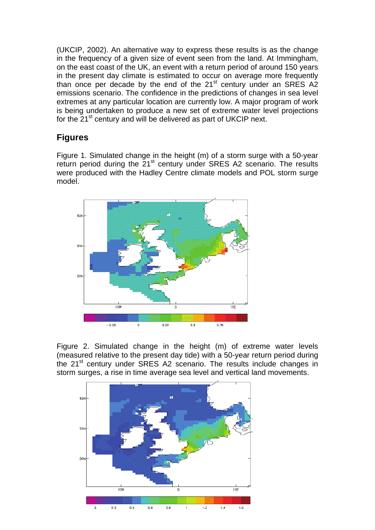(UKCIP, 2002). An alternative way to express these results is as the change in the frequency of a given size of event seen from the land. At Immingham, on the east coast of the UK, an event with a return period of around 150 years in the present day climate is estimated to occur on average more frequently than once per decade by the end of the  $21<sup>st</sup>$  century under an SRES A2 emissions scenario. The confidence in the predictions of changes in sea level extremes at any particular location are currently low. A major program of work is being undertaken to produce a new set of extreme water level projections for the 21<sup>st</sup> century and will be delivered as part of UKCIP next.

# **Figures**

Figure 1. Simulated change in the height (m) of a storm surge with a 50-year return period during the 21<sup>st</sup> century under SRES A2 scenario. The results were produced with the Hadley Centre climate models and POL storm surge model.



Figure 2. Simulated change in the height (m) of extreme water levels (measured relative to the present day tide) with a 50-year return period during the 21<sup>st</sup> century under SRES A2 scenario. The results include changes in storm surges, a rise in time average sea level and vertical land movements.

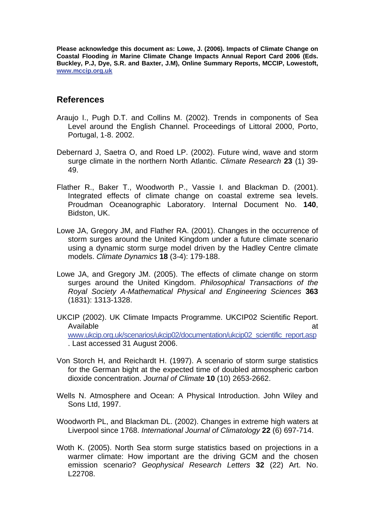**Please acknowledge this document as: Lowe, J. (2006). Impacts of Climate Change on Coastal Flooding** *in* **Marine Climate Change Impacts Annual Report Card 2006 (Eds. Buckley, P.J, Dye, S.R. and Baxter, J.M), Online Summary Reports, MCCIP, Lowestoft, [www.mccip.org.uk](http://www.mccip.org.uk/)**

#### **References**

- Araujo I., Pugh D.T. and Collins M. (2002). Trends in components of Sea Level around the English Channel. Proceedings of Littoral 2000, Porto, Portugal, 1-8. 2002.
- Debernard J, Saetra O, and Roed LP. (2002). Future wind, wave and storm surge climate in the northern North Atlantic. *Climate Research* **23** (1) 39- 49.
- Flather R., Baker T., Woodworth P., Vassie I. and Blackman D. (2001). Integrated effects of climate change on coastal extreme sea levels. Proudman Oceanographic Laboratory. Internal Document No. **140**, Bidston, UK.
- Lowe JA, Gregory JM, and Flather RA. (2001). Changes in the occurrence of storm surges around the United Kingdom under a future climate scenario using a dynamic storm surge model driven by the Hadley Centre climate models. *Climate Dynamics* **18** (3-4): 179-188.
- Lowe JA, and Gregory JM. (2005). The effects of climate change on storm surges around the United Kingdom. *Philosophical Transactions of the Royal Society A-Mathematical Physical and Engineering Sciences* **363** (1831): 1313-1328.
- UKCIP (2002). UK Climate Impacts Programme. UKCIP02 Scientific Report. Available at the contract of the contract of the contract of the contract of the contract of the contract of the contract of the contract of the contract of the contract of the contract of the contract of the contract of t [www.ukcip.org.uk/scenarios/ukcip02/documentation/ukcip02\\_scientific\\_report.asp](http://www.ukcip.org.uk/scenarios/ukcip02/documentation/ukcip02_scientific_report.asp) . Last accessed 31 August 2006.
- Von Storch H, and Reichardt H. (1997). A scenario of storm surge statistics for the German bight at the expected time of doubled atmospheric carbon dioxide concentration. *Journal of Climate* **10** (10) 2653-2662.
- Wells N. Atmosphere and Ocean: A Physical Introduction. John Wiley and Sons Ltd, 1997.
- Woodworth PL, and Blackman DL. (2002). Changes in extreme high waters at Liverpool since 1768. *International Journal of Climatology* **22** (6) 697-714.
- Woth K. (2005). North Sea storm surge statistics based on projections in a warmer climate: How important are the driving GCM and the chosen emission scenario? *Geophysical Research Letters* **32** (22) Art. No. L22708.